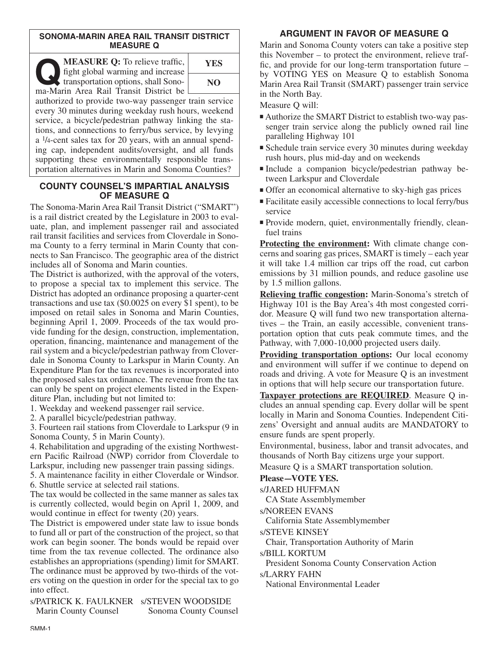## **SONOMA-MARIN AREA RAIL TRANSIT DISTRICT MEASURE Q**

**COMEASURE Q:** To relieve traffic,<br>fight global warming and increase<br>transportation options, shall Sono-<br>ma-Marin Area Rail Transit District be fight global warming and increase transportation options, shall Sonoma-Marin Area Rail Transit District be



authorized to provide two-way passenger train service every 30 minutes during weekday rush hours, weekend service, a bicycle/pedestrian pathway linking the stations, and connections to ferry/bus service, by levying a 1/4-cent sales tax for 20 years, with an annual spending cap, independent audits/oversight, and all funds supporting these environmentally responsible transportation alternatives in Marin and Sonoma Counties?

# **COUNTY COUNSEL'S IMPARTIAL ANALYSIS OF MEASURE Q**

The Sonoma-Marin Area Rail Transit District ("SMART") is a rail district created by the Legislature in 2003 to evaluate, plan, and implement passenger rail and associated rail transit facilities and services from Cloverdale in Sonoma County to a ferry terminal in Marin County that connects to San Francisco. The geographic area of the district includes all of Sonoma and Marin counties.

The District is authorized, with the approval of the voters, to propose a special tax to implement this service. The District has adopted an ordinance proposing a quarter-cent transactions and use tax (\$0.0025 on every \$1 spent), to be imposed on retail sales in Sonoma and Marin Counties, beginning April 1, 2009. Proceeds of the tax would provide funding for the design, construction, implementation, operation, financing, maintenance and management of the rail system and a bicycle/pedestrian pathway from Cloverdale in Sonoma County to Larkspur in Marin County. An Expenditure Plan for the tax revenues is incorporated into the proposed sales tax ordinance. The revenue from the tax can only be spent on project elements listed in the Expenditure Plan, including but not limited to:

1. Weekday and weekend passenger rail service.

2. A parallel bicycle/pedestrian pathway.

3. Fourteen rail stations from Cloverdale to Larkspur (9 in Sonoma County, 5 in Marin County).

4. Rehabilitation and upgrading of the existing Northwestern Pacific Railroad (NWP) corridor from Cloverdale to Larkspur, including new passenger train passing sidings.

5. A maintenance facility in either Cloverdale or Windsor. 6. Shuttle service at selected rail stations.

The tax would be collected in the same manner as sales tax is currently collected, would begin on April 1, 2009, and would continue in effect for twenty (20) years.

The District is empowered under state law to issue bonds to fund all or part of the construction of the project, so that work can begin sooner. The bonds would be repaid over time from the tax revenue collected. The ordinance also establishes an appropriations (spending) limit for SMART. The ordinance must be approved by two-thirds of the voters voting on the question in order for the special tax to go into effect.

s/PATRICK K. FAULKNER s/STEVEN WOODSIDE Marin County Counsel Sonoma County Counsel

# **ARGUMENT IN FAVOR OF MEASURE Q**

Marin and Sonoma County voters can take a positive step this November – to protect the environment, relieve traffic, and provide for our long-term transportation future – by VOTING YES on Measure Q to establish Sonoma Marin Area Rail Transit (SMART) passenger train service in the North Bay.

Measure Q will:

- Authorize the SMART District to establish two-way passenger train service along the publicly owned rail line paralleling Highway 101
- Schedule train service every 30 minutes during weekday rush hours, plus mid-day and on weekends
- Include a companion bicycle/pedestrian pathway between Larkspur and Cloverdale
- Offer an economical alternative to sky-high gas prices
- Facilitate easily accessible connections to local ferry/bus service
- Provide modern, quiet, environmentally friendly, cleanfuel trains

**Protecting the environment:** With climate change concerns and soaring gas prices, SMART is timely – each year it will take 1.4 million car trips off the road, cut carbon emissions by 31 million pounds, and reduce gasoline use by 1.5 million gallons.

**Relieving traffic congestion:** Marin-Sonoma's stretch of Highway 101 is the Bay Area's 4th most congested corridor. Measure Q will fund two new transportation alternatives – the Train, an easily accessible, convenient transportation option that cuts peak commute times, and the Pathway, with 7,000-10,000 projected users daily.

**Providing transportation options:** Our local economy and environment will suffer if we continue to depend on roads and driving. A vote for Measure Q is an investment in options that will help secure our transportation future.

**Taxpayer protections are REQUIRED**. Measure Q includes an annual spending cap. Every dollar will be spent locally in Marin and Sonoma Counties. Independent Citizens' Oversight and annual audits are MANDATORY to ensure funds are spent properly.

Environmental, business, labor and transit advocates, and thousands of North Bay citizens urge your support. Measure Q is a SMART transportation solution.

# **Please–VOTE YES.**

s/JARED HUFFMAN

CA State Assemblymember

s/NOREEN EVANS

California State Assemblymember

s/STEVE KINSEY

Chair, Transportation Authority of Marin

s/BILL KORTUM

President Sonoma County Conservation Action

s/LARRY FAHN

National Environmental Leader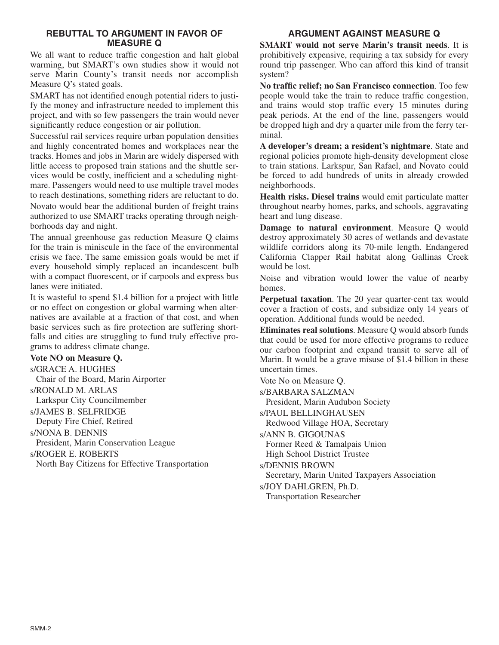# **REBUTTAL TO ARGUMENT IN FAVOR OF MEASURE Q**

We all want to reduce traffic congestion and halt global warming, but SMART's own studies show it would not serve Marin County's transit needs nor accomplish Measure Q's stated goals.

SMART has not identified enough potential riders to justify the money and infrastructure needed to implement this project, and with so few passengers the train would never significantly reduce congestion or air pollution.

Successful rail services require urban population densities and highly concentrated homes and workplaces near the tracks. Homes and jobs in Marin are widely dispersed with little access to proposed train stations and the shuttle services would be costly, inefficient and a scheduling nightmare. Passengers would need to use multiple travel modes to reach destinations, something riders are reluctant to do.

Novato would bear the additional burden of freight trains authorized to use SMART tracks operating through neighborhoods day and night.

The annual greenhouse gas reduction Measure Q claims for the train is miniscule in the face of the environmental crisis we face. The same emission goals would be met if every household simply replaced an incandescent bulb with a compact fluorescent, or if carpools and express bus lanes were initiated.

It is wasteful to spend \$1.4 billion for a project with little or no effect on congestion or global warming when alternatives are available at a fraction of that cost, and when basic services such as fire protection are suffering shortfalls and cities are struggling to fund truly effective programs to address climate change.

# **Vote NO on Measure Q.**

s/GRACE A. HUGHES Chair of the Board, Marin Airporter s/RONALD M. ARLAS Larkspur City Councilmember s/JAMES B. SELFRIDGE Deputy Fire Chief, Retired s/NONA B. DENNIS President, Marin Conservation League s/ROGER E. ROBERTS North Bay Citizens for Effective Transportation

# **ARGUMENT AGAINST MEASURE Q**

**SMART would not serve Marin's transit needs**. It is prohibitively expensive, requiring a tax subsidy for every round trip passenger. Who can afford this kind of transit system?

**No traffic relief; no San Francisco connection**. Too few people would take the train to reduce traffic congestion, and trains would stop traffic every 15 minutes during peak periods. At the end of the line, passengers would be dropped high and dry a quarter mile from the ferry terminal.

**A developer's dream; a resident's nightmare**. State and regional policies promote high-density development close to train stations. Larkspur, San Rafael, and Novato could be forced to add hundreds of units in already crowded neighborhoods.

**Health risks. Diesel trains** would emit particulate matter throughout nearby homes, parks, and schools, aggravating heart and lung disease.

**Damage to natural environment**. Measure Q would destroy approximately 30 acres of wetlands and devastate wildlife corridors along its 70-mile length. Endangered California Clapper Rail habitat along Gallinas Creek would be lost.

Noise and vibration would lower the value of nearby homes.

**Perpetual taxation**. The 20 year quarter-cent tax would cover a fraction of costs, and subsidize only 14 years of operation. Additional funds would be needed.

**Eliminates real solutions**. Measure Q would absorb funds that could be used for more effective programs to reduce our carbon footprint and expand transit to serve all of Marin. It would be a grave misuse of \$1.4 billion in these uncertain times.

Vote No on Measure Q.

s/BARBARA SALZMAN President, Marin Audubon Society s/PAUL BELLINGHAUSEN Redwood Village HOA, Secretary s/ANN B. GIGOUNAS Former Reed & Tamalpais Union High School District Trustee s/DENNIS BROWN Secretary, Marin United Taxpayers Association s/JOY DAHLGREN, Ph.D. Transportation Researcher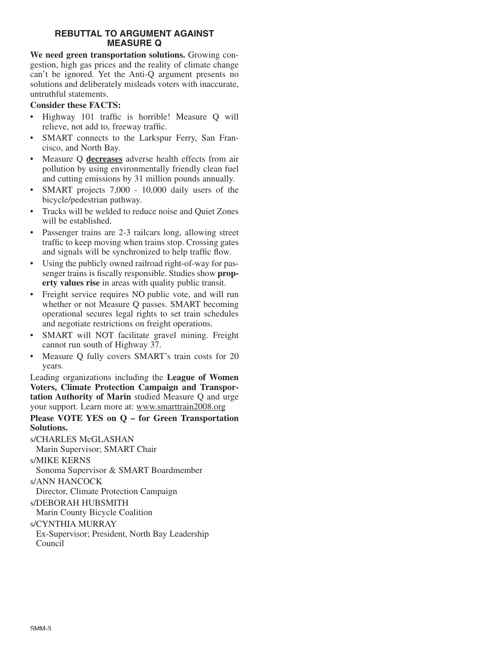# **REBUTTAL TO ARGUMENT AGAINST MEASURE Q**

**We need green transportation solutions.** Growing congestion, high gas prices and the reality of climate change can't be ignored. Yet the Anti-Q argument presents no solutions and deliberately misleads voters with inaccurate, untruthful statements.

# **Consider these FACTS:**

- Highway 101 traffic is horrible! Measure Q will relieve, not add to, freeway traffic.
- SMART connects to the Larkspur Ferry, San Francisco, and North Bay.
- Measure Q **decreases** adverse health effects from air pollution by using environmentally friendly clean fuel and cutting emissions by 31 million pounds annually.
- SMART projects 7,000 10,000 daily users of the bicycle/pedestrian pathway.
- Tracks will be welded to reduce noise and Quiet Zones will be established.
- Passenger trains are 2-3 railcars long, allowing street traffic to keep moving when trains stop. Crossing gates and signals will be synchronized to help traffic flow.
- Using the publicly owned railroad right-of-way for passenger trains is fiscally responsible. Studies show **property values rise** in areas with quality public transit.
- Freight service requires NO public vote, and will run whether or not Measure Q passes. SMART becoming operational secures legal rights to set train schedules and negotiate restrictions on freight operations.
- SMART will NOT facilitate gravel mining. Freight cannot run south of Highway 37.
- Measure Q fully covers SMART's train costs for 20 years.

Leading organizations including the **League of Women Voters, Climate Protection Campaign and Transportation Authority of Marin** studied Measure Q and urge your support. Learn more at: www.smarttrain2008.org

# **Please VOTE YES on Q – for Green Transportation Solutions.**

s/CHARLES McGLASHAN

Marin Supervisor; SMART Chair

s/MIKE KERNS

Sonoma Supervisor & SMART Boardmember

s/ANN HANCOCK

Director, Climate Protection Campaign

# s/DEBORAH HUBSMITH

Marin County Bicycle Coalition

s/CYNTHIA MURRAY

Ex-Supervisor; President, North Bay Leadership Council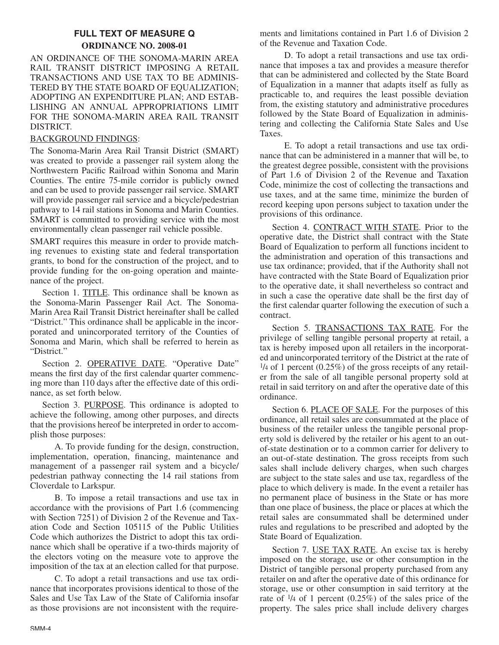# **FULL TEXT OF MEASURE Q ORDINANCE NO. 2008-01**

AN ORDINANCE OF THE SONOMA-MARIN AREA RAIL TRANSIT DISTRICT IMPOSING A RETAIL TRANSACTIONS AND USE TAX TO BE ADMINIS-TERED BY THE STATE BOARD OF EQUALIZATION; ADOPTING AN EXPENDITURE PLAN; AND ESTAB-LISHING AN ANNUAL APPROPRIATIONS LIMIT FOR THE SONOMA-MARIN AREA RAIL TRANSIT DISTRICT.

# BACKGROUND FINDINGS:

The Sonoma-Marin Area Rail Transit District (SMART) was created to provide a passenger rail system along the Northwestern Pacific Railroad within Sonoma and Marin Counties. The entire 75-mile corridor is publicly owned and can be used to provide passenger rail service. SMART will provide passenger rail service and a bicycle/pedestrian pathway to 14 rail stations in Sonoma and Marin Counties. SMART is committed to providing service with the most environmentally clean passenger rail vehicle possible.

SMART requires this measure in order to provide matching revenues to existing state and federal transportation grants, to bond for the construction of the project, and to provide funding for the on-going operation and maintenance of the project.

Section 1. TITLE. This ordinance shall be known as the Sonoma-Marin Passenger Rail Act. The Sonoma-Marin Area Rail Transit District hereinafter shall be called "District." This ordinance shall be applicable in the incorporated and unincorporated territory of the Counties of Sonoma and Marin, which shall be referred to herein as "District."

Section 2. OPERATIVE DATE. "Operative Date" means the first day of the first calendar quarter commencing more than 110 days after the effective date of this ordinance, as set forth below.

Section 3. PURPOSE. This ordinance is adopted to achieve the following, among other purposes, and directs that the provisions hereof be interpreted in order to accomplish those purposes:

A. To provide funding for the design, construction, implementation, operation, financing, maintenance and management of a passenger rail system and a bicycle/ pedestrian pathway connecting the 14 rail stations from Cloverdale to Larkspur.

B. To impose a retail transactions and use tax in accordance with the provisions of Part 1.6 (commencing with Section 7251) of Division 2 of the Revenue and Taxation Code and Section 105115 of the Public Utilities Code which authorizes the District to adopt this tax ordinance which shall be operative if a two-thirds majority of the electors voting on the measure vote to approve the imposition of the tax at an election called for that purpose.

C. To adopt a retail transactions and use tax ordinance that incorporates provisions identical to those of the Sales and Use Tax Law of the State of California insofar as those provisions are not inconsistent with the requirements and limitations contained in Part 1.6 of Division 2 of the Revenue and Taxation Code.

D. To adopt a retail transactions and use tax ordinance that imposes a tax and provides a measure therefor that can be administered and collected by the State Board of Equalization in a manner that adapts itself as fully as practicable to, and requires the least possible deviation from, the existing statutory and administrative procedures followed by the State Board of Equalization in administering and collecting the California State Sales and Use Taxes.

E. To adopt a retail transactions and use tax ordinance that can be administered in a manner that will be, to the greatest degree possible, consistent with the provisions of Part 1.6 of Division 2 of the Revenue and Taxation Code, minimize the cost of collecting the transactions and use taxes, and at the same time, minimize the burden of record keeping upon persons subject to taxation under the provisions of this ordinance.

Section 4. CONTRACT WITH STATE. Prior to the operative date, the District shall contract with the State Board of Equalization to perform all functions incident to the administration and operation of this transactions and use tax ordinance; provided, that if the Authority shall not have contracted with the State Board of Equalization prior to the operative date, it shall nevertheless so contract and in such a case the operative date shall be the first day of the first calendar quarter following the execution of such a contract.

Section 5. TRANSACTIONS TAX RATE. For the privilege of selling tangible personal property at retail, a tax is hereby imposed upon all retailers in the incorporated and unincorporated territory of the District at the rate of  $\frac{1}{4}$  of 1 percent (0.25%) of the gross receipts of any retailer from the sale of all tangible personal property sold at retail in said territory on and after the operative date of this ordinance.

Section 6. PLACE OF SALE. For the purposes of this ordinance, all retail sales are consummated at the place of business of the retailer unless the tangible personal property sold is delivered by the retailer or his agent to an outof-state destination or to a common carrier for delivery to an out-of-state destination. The gross receipts from such sales shall include delivery charges, when such charges are subject to the state sales and use tax, regardless of the place to which delivery is made. In the event a retailer has no permanent place of business in the State or has more than one place of business, the place or places at which the retail sales are consummated shall be determined under rules and regulations to be prescribed and adopted by the State Board of Equalization.

Section 7. USE TAX RATE. An excise tax is hereby imposed on the storage, use or other consumption in the District of tangible personal property purchased from any retailer on and after the operative date of this ordinance for storage, use or other consumption in said territory at the rate of 1/4 of 1 percent (0.25%) of the sales price of the property. The sales price shall include delivery charges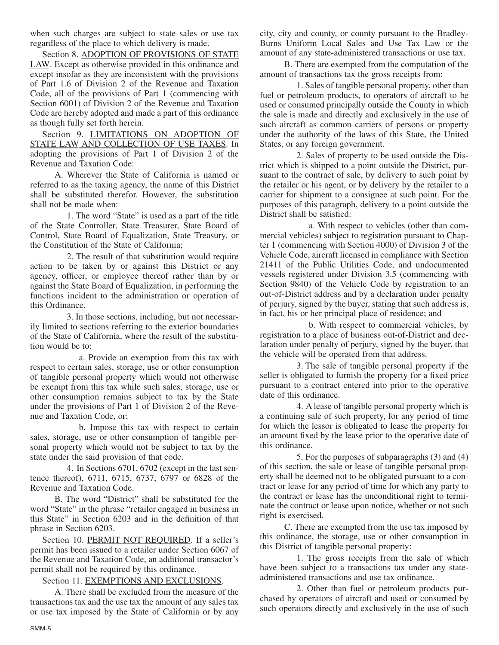when such charges are subject to state sales or use tax regardless of the place to which delivery is made.

Section 8. ADOPTION OF PROVISIONS OF STATE LAW. Except as otherwise provided in this ordinance and except insofar as they are inconsistent with the provisions of Part 1.6 of Division 2 of the Revenue and Taxation Code, all of the provisions of Part 1 (commencing with Section 6001) of Division 2 of the Revenue and Taxation Code are hereby adopted and made a part of this ordinance as though fully set forth herein.

Section 9. LIMITATIONS ON ADOPTION OF STATE LAW AND COLLECTION OF USE TAXES. In adopting the provisions of Part 1 of Division 2 of the Revenue and Taxation Code:

A. Wherever the State of California is named or referred to as the taxing agency, the name of this District shall be substituted therefor. However, the substitution shall not be made when:

1. The word "State" is used as a part of the title of the State Controller, State Treasurer, State Board of Control, State Board of Equalization, State Treasury, or the Constitution of the State of California;

2. The result of that substitution would require action to be taken by or against this District or any agency, officer, or employee thereof rather than by or against the State Board of Equalization, in performing the functions incident to the administration or operation of this Ordinance.

3. In those sections, including, but not necessarily limited to sections referring to the exterior boundaries of the State of California, where the result of the substitution would be to:

a. Provide an exemption from this tax with respect to certain sales, storage, use or other consumption of tangible personal property which would not otherwise be exempt from this tax while such sales, storage, use or other consumption remains subject to tax by the State under the provisions of Part 1 of Division 2 of the Revenue and Taxation Code, or;

b. Impose this tax with respect to certain sales, storage, use or other consumption of tangible personal property which would not be subject to tax by the state under the said provision of that code.

4. In Sections 6701, 6702 (except in the last sentence thereof), 6711, 6715, 6737, 6797 or 6828 of the Revenue and Taxation Code.

B. The word "District" shall be substituted for the word "State" in the phrase "retailer engaged in business in this State" in Section 6203 and in the definition of that phrase in Section 6203.

Section 10. PERMIT NOT REQUIRED. If a seller's permit has been issued to a retailer under Section 6067 of the Revenue and Taxation Code, an additional transactor's permit shall not be required by this ordinance.

Section 11. EXEMPTIONS AND EXCLUSIONS.

A. There shall be excluded from the measure of the transactions tax and the use tax the amount of any sales tax or use tax imposed by the State of California or by any

city, city and county, or county pursuant to the Bradley-Burns Uniform Local Sales and Use Tax Law or the amount of any state-administered transactions or use tax.

B. There are exempted from the computation of the amount of transactions tax the gross receipts from:

1. Sales of tangible personal property, other than fuel or petroleum products, to operators of aircraft to be used or consumed principally outside the County in which the sale is made and directly and exclusively in the use of such aircraft as common carriers of persons or property under the authority of the laws of this State, the United States, or any foreign government.

2. Sales of property to be used outside the District which is shipped to a point outside the District, pursuant to the contract of sale, by delivery to such point by the retailer or his agent, or by delivery by the retailer to a carrier for shipment to a consignee at such point. For the purposes of this paragraph, delivery to a point outside the District shall be satisfied:

a. With respect to vehicles (other than commercial vehicles) subject to registration pursuant to Chapter 1 (commencing with Section 4000) of Division 3 of the Vehicle Code, aircraft licensed in compliance with Section 21411 of the Public Utilities Code, and undocumented vessels registered under Division 3.5 (commencing with Section 9840) of the Vehicle Code by registration to an out-of-District address and by a declaration under penalty of perjury, signed by the buyer, stating that such address is, in fact, his or her principal place of residence; and

b. With respect to commercial vehicles, by registration to a place of business out-of-District and declaration under penalty of perjury, signed by the buyer, that the vehicle will be operated from that address.

3. The sale of tangible personal property if the seller is obligated to furnish the property for a fixed price pursuant to a contract entered into prior to the operative date of this ordinance.

4. A lease of tangible personal property which is a continuing sale of such property, for any period of time for which the lessor is obligated to lease the property for an amount fixed by the lease prior to the operative date of this ordinance.

5. For the purposes of subparagraphs (3) and (4) of this section, the sale or lease of tangible personal property shall be deemed not to be obligated pursuant to a contract or lease for any period of time for which any party to the contract or lease has the unconditional right to terminate the contract or lease upon notice, whether or not such right is exercised.

C. There are exempted from the use tax imposed by this ordinance, the storage, use or other consumption in this District of tangible personal property:

1. The gross receipts from the sale of which have been subject to a transactions tax under any stateadministered transactions and use tax ordinance.

2. Other than fuel or petroleum products purchased by operators of aircraft and used or consumed by such operators directly and exclusively in the use of such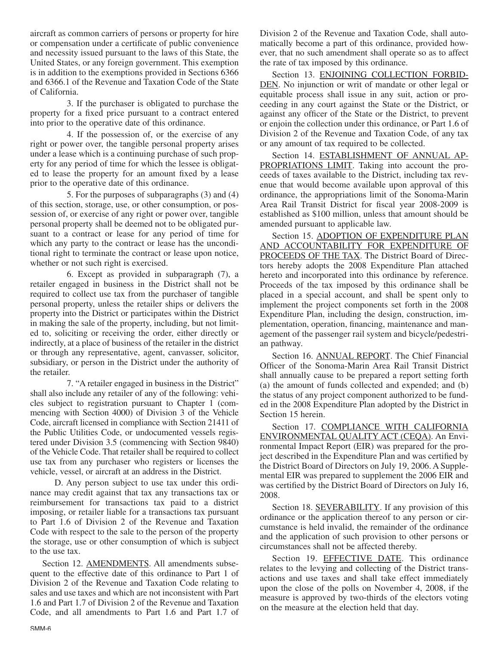aircraft as common carriers of persons or property for hire or compensation under a certificate of public convenience and necessity issued pursuant to the laws of this State, the United States, or any foreign government. This exemption is in addition to the exemptions provided in Sections 6366 and 6366.1 of the Revenue and Taxation Code of the State of California.

3. If the purchaser is obligated to purchase the property for a fixed price pursuant to a contract entered into prior to the operative date of this ordinance.

4. If the possession of, or the exercise of any right or power over, the tangible personal property arises under a lease which is a continuing purchase of such property for any period of time for which the lessee is obligated to lease the property for an amount fixed by a lease prior to the operative date of this ordinance.

5. For the purposes of subparagraphs (3) and (4) of this section, storage, use, or other consumption, or possession of, or exercise of any right or power over, tangible personal property shall be deemed not to be obligated pursuant to a contract or lease for any period of time for which any party to the contract or lease has the unconditional right to terminate the contract or lease upon notice, whether or not such right is exercised.

6. Except as provided in subparagraph (7), a retailer engaged in business in the District shall not be required to collect use tax from the purchaser of tangible personal property, unless the retailer ships or delivers the property into the District or participates within the District in making the sale of the property, including, but not limited to, soliciting or receiving the order, either directly or indirectly, at a place of business of the retailer in the district or through any representative, agent, canvasser, solicitor, subsidiary, or person in the District under the authority of the retailer.

7. "A retailer engaged in business in the District" shall also include any retailer of any of the following: vehicles subject to registration pursuant to Chapter 1 (commencing with Section 4000) of Division 3 of the Vehicle Code, aircraft licensed in compliance with Section 21411 of the Public Utilities Code, or undocumented vessels registered under Division 3.5 (commencing with Section 9840) of the Vehicle Code. That retailer shall be required to collect use tax from any purchaser who registers or licenses the vehicle, vessel, or aircraft at an address in the District.

D. Any person subject to use tax under this ordinance may credit against that tax any transactions tax or reimbursement for transactions tax paid to a district imposing, or retailer liable for a transactions tax pursuant to Part 1.6 of Division 2 of the Revenue and Taxation Code with respect to the sale to the person of the property the storage, use or other consumption of which is subject to the use tax.

Section 12. AMENDMENTS. All amendments subsequent to the effective date of this ordinance to Part 1 of Division 2 of the Revenue and Taxation Code relating to sales and use taxes and which are not inconsistent with Part 1.6 and Part 1.7 of Division 2 of the Revenue and Taxation Code, and all amendments to Part 1.6 and Part 1.7 of

Division 2 of the Revenue and Taxation Code, shall automatically become a part of this ordinance, provided however, that no such amendment shall operate so as to affect the rate of tax imposed by this ordinance.

Section 13. ENJOINING COLLECTION FORBID-DEN. No injunction or writ of mandate or other legal or equitable process shall issue in any suit, action or proceeding in any court against the State or the District, or against any officer of the State or the District, to prevent or enjoin the collection under this ordinance, or Part 1.6 of Division 2 of the Revenue and Taxation Code, of any tax or any amount of tax required to be collected.

Section 14. ESTABLISHMENT OF ANNUAL AP-PROPRIATIONS LIMIT. Taking into account the proceeds of taxes available to the District, including tax revenue that would become available upon approval of this ordinance, the appropriations limit of the Sonoma-Marin Area Rail Transit District for fiscal year 2008-2009 is established as \$100 million, unless that amount should be amended pursuant to applicable law.

Section 15. ADOPTION OF EXPENDITURE PLAN AND ACCOUNTABILITY FOR EXPENDITURE OF PROCEEDS OF THE TAX. The District Board of Directors hereby adopts the 2008 Expenditure Plan attached hereto and incorporated into this ordinance by reference. Proceeds of the tax imposed by this ordinance shall be placed in a special account, and shall be spent only to implement the project components set forth in the 2008 Expenditure Plan, including the design, construction, implementation, operation, financing, maintenance and management of the passenger rail system and bicycle/pedestrian pathway.

Section 16. ANNUAL REPORT. The Chief Financial Officer of the Sonoma-Marin Area Rail Transit District shall annually cause to be prepared a report setting forth (a) the amount of funds collected and expended; and (b) the status of any project component authorized to be funded in the 2008 Expenditure Plan adopted by the District in Section 15 herein.

Section 17. COMPLIANCE WITH CALIFORNIA ENVIRONMENTAL QUALITY ACT (CEQA). An Environmental Impact Report (EIR) was prepared for the project described in the Expenditure Plan and was certified by the District Board of Directors on July 19, 2006. A Supplemental EIR was prepared to supplement the 2006 EIR and was certified by the District Board of Directors on July 16, 2008.

Section 18. SEVERABILITY. If any provision of this ordinance or the application thereof to any person or circumstance is held invalid, the remainder of the ordinance and the application of such provision to other persons or circumstances shall not be affected thereby.

Section 19. EFFECTIVE DATE. This ordinance relates to the levying and collecting of the District transactions and use taxes and shall take effect immediately upon the close of the polls on November 4, 2008, if the measure is approved by two-thirds of the electors voting on the measure at the election held that day.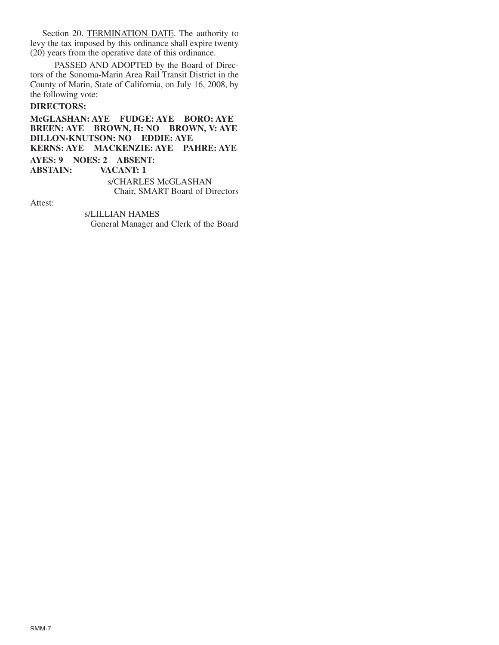Section 20. TERMINATION DATE. The authority to levy the tax imposed by this ordinance shall expire twenty (20) years from the operative date of this ordinance.

PASSED AND ADOPTED by the Board of Directors of the Sonoma-Marin Area Rail Transit District in the County of Marin, State of California, on July 16, 2008, by the following vote:

# **DIRECTORS:**

**McGLASHAN: AYE FUDGE: AYE BORO: AYE BREEN: AYE BROWN, H: NO BROWN, V: AYE DILLON-KNUTSON: NO EDDIE: AYE KERNS: AYE MACKENZIE: AYE PAHRE: AYE AYES: 9 NOES: 2 ABSENT: ABSTAIN: VACANT: 1** s/CHARLES McGLASHAN Chair, SMART Board of Directors

Attest:

s/LILLIAN HAMES General Manager and Clerk of the Board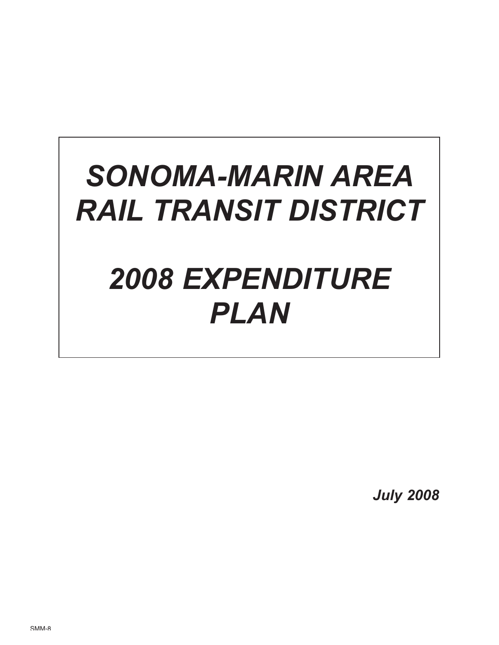# *SONOMA-MARIN AREA RAIL TRANSIT DISTRICT 2008 EXPENDITURE PLAN*

*July 2008*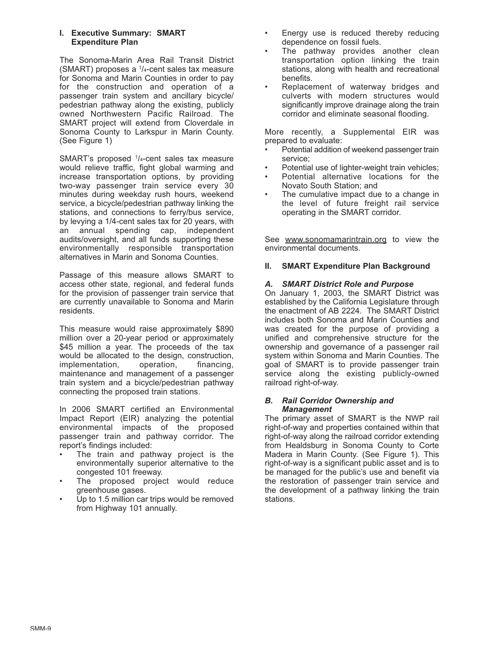#### **I. Executive Summary: SMART Expenditure Plan**

The Sonoma-Marin Area Rail Transit District (SMART) proposes a  $1/4$ -cent sales tax measure for Sonoma and Marin Counties in order to pay for the construction and operation of a passenger train system and ancillary bicycle/ pedestrian pathway along the existing, publicly owned Northwestern Pacific Railroad. The SMART project will extend from Cloverdale in Sonoma County to Larkspur in Marin County. (See Figure 1)

SMART's proposed <sup>1</sup>/<sub>4</sub>-cent sales tax measure would relieve traffic, fight global warming and increase transportation options, by providing two-way passenger train service every 30 minutes during weekday rush hours, weekend service, a bicycle/pedestrian pathway linking the stations, and connections to ferry/bus service, by levying a 1/4-cent sales tax for 20 years, with an annual spending cap, independent audits/oversight, and all funds supporting these environmentally responsible transportation alternatives in Marin and Sonoma Counties.

Passage of this measure allows SMART to access other state, regional, and federal funds for the provision of passenger train service that are currently unavailable to Sonoma and Marin residents.

This measure would raise approximately \$890 million over a 20-year period or approximately \$45 million a year. The proceeds of the tax would be allocated to the design, construction,<br>implementation, operation, financing, implementation, operation, financing, maintenance and management of a passenger train system and a bicycle/pedestrian pathway connecting the proposed train stations.

In 2006 SMART certified an Environmental Impact Report (EIR) analyzing the potential environmental impacts of the proposed passenger train and pathway corridor. The report's findings included:

- The train and pathway project is the environmentally superior alternative to the congested 101 freeway.
- The proposed project would reduce greenhouse gases.
- Up to 1.5 million car trips would be removed from Highway 101 annually.
- Energy use is reduced thereby reducing dependence on fossil fuels.
- The pathway provides another clean transportation option linking the train stations, along with health and recreational benefits.
- Replacement of waterway bridges and culverts with modern structures would significantly improve drainage along the train corridor and eliminate seasonal flooding.

More recently, a Supplemental EIR was prepared to evaluate:

- Potential addition of weekend passenger train service;
- Potential use of lighter-weight train vehicles;
- Potential alternative locations for the Novato South Station; and
- The cumulative impact due to a change in the level of future freight rail service operating in the SMART corridor.

See www.sonomamarintrain.org to view the environmental documents.

# **II. SMART Expenditure Plan Background**

# *A. SMART District Role and Purpose*

On January 1, 2003, the SMART District was established by the California Legislature through the enactment of AB 2224. The SMART District includes both Sonoma and Marin Counties and was created for the purpose of providing a unified and comprehensive structure for the ownership and governance of a passenger rail system within Sonoma and Marin Counties. The goal of SMART is to provide passenger train service along the existing publicly-owned railroad right-of-way.

#### *B. Rail Corridor Ownership and Management*

The primary asset of SMART is the NWP rail right-of-way and properties contained within that right-of-way along the railroad corridor extending from Healdsburg in Sonoma County to Corte Madera in Marin County. (See Figure 1). This right-of-way is a significant public asset and is to be managed for the public's use and benefit via the restoration of passenger train service and the development of a pathway linking the train stations.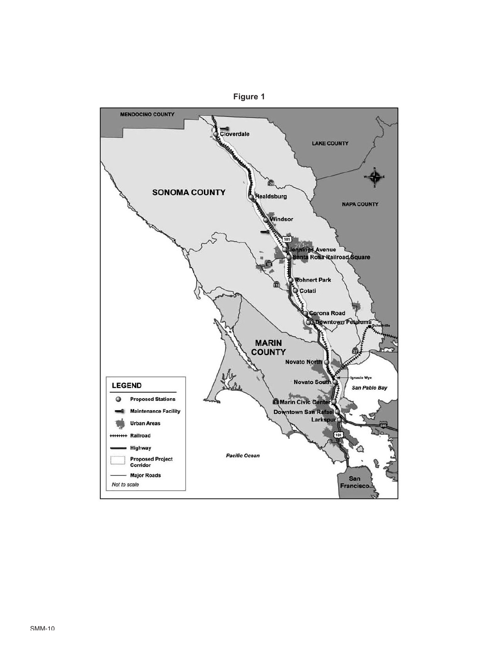

**Figure 1**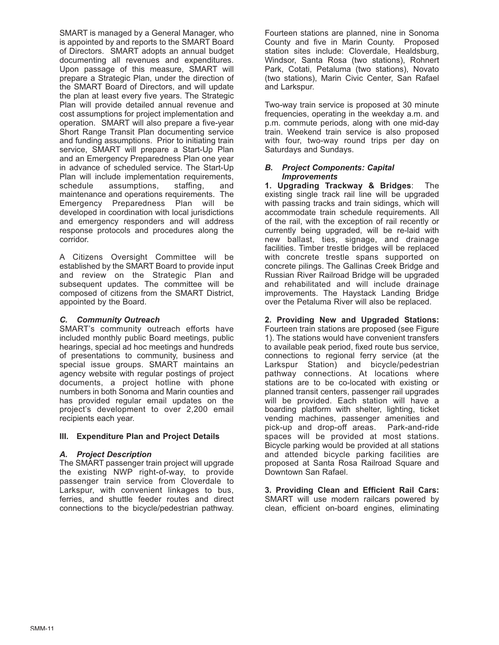SMART is managed by a General Manager, who is appointed by and reports to the SMART Board of Directors. SMART adopts an annual budget documenting all revenues and expenditures. Upon passage of this measure, SMART will prepare a Strategic Plan, under the direction of the SMART Board of Directors, and will update the plan at least every five years. The Strategic Plan will provide detailed annual revenue and cost assumptions for project implementation and operation. SMART will also prepare a five-year Short Range Transit Plan documenting service and funding assumptions. Prior to initiating train service, SMART will prepare a Start-Up Plan and an Emergency Preparedness Plan one year in advance of scheduled service. The Start-Up Plan will include implementation requirements, schedule assumptions, staffing, and maintenance and operations requirements. The Emergency Preparedness Plan will be developed in coordination with local jurisdictions and emergency responders and will address response protocols and procedures along the corridor.

A Citizens Oversight Committee will be established by the SMART Board to provide input and review on the Strategic Plan and subsequent updates. The committee will be composed of citizens from the SMART District, appointed by the Board.

## *C. Community Outreach*

SMART's community outreach efforts have included monthly public Board meetings, public hearings, special ad hoc meetings and hundreds of presentations to community, business and special issue groups. SMART maintains an agency website with regular postings of project documents, a project hotline with phone numbers in both Sonoma and Marin counties and has provided regular email updates on the project's development to over 2,200 email recipients each year.

#### **III. Expenditure Plan and Project Details**

#### *A. Project Description*

The SMART passenger train project will upgrade the existing NWP right-of-way, to provide passenger train service from Cloverdale to Larkspur, with convenient linkages to bus, ferries, and shuttle feeder routes and direct connections to the bicycle/pedestrian pathway. Fourteen stations are planned, nine in Sonoma County and five in Marin County. Proposed station sites include: Cloverdale, Healdsburg, Windsor, Santa Rosa (two stations), Rohnert Park, Cotati, Petaluma (two stations), Novato (two stations), Marin Civic Center, San Rafael and Larkspur.

Two-way train service is proposed at 30 minute frequencies, operating in the weekday a.m. and p.m. commute periods, along with one mid-day train. Weekend train service is also proposed with four, two-way round trips per day on Saturdays and Sundays.

#### *B. Project Components: Capital Improvements*

**1. Upgrading Trackway & Bridges**: The existing single track rail line will be upgraded with passing tracks and train sidings, which will accommodate train schedule requirements. All of the rail, with the exception of rail recently or currently being upgraded, will be re-laid with new ballast, ties, signage, and drainage facilities. Timber trestle bridges will be replaced with concrete trestle spans supported on concrete pilings. The Gallinas Creek Bridge and Russian River Railroad Bridge will be upgraded and rehabilitated and will include drainage improvements. The Haystack Landing Bridge over the Petaluma River will also be replaced.

**2. Providing New and Upgraded Stations:** Fourteen train stations are proposed (see Figure 1). The stations would have convenient transfers to available peak period, fixed route bus service, connections to regional ferry service (at the Larkspur Station) and bicycle/pedestrian pathway connections. At locations where stations are to be co-located with existing or planned transit centers, passenger rail upgrades will be provided. Each station will have a boarding platform with shelter, lighting, ticket vending machines, passenger amenities and pick-up and drop-off areas. Park-and-ride spaces will be provided at most stations. Bicycle parking would be provided at all stations and attended bicycle parking facilities are proposed at Santa Rosa Railroad Square and Downtown San Rafael.

**3. Providing Clean and Efficient Rail Cars:** SMART will use modern railcars powered by clean, efficient on-board engines, eliminating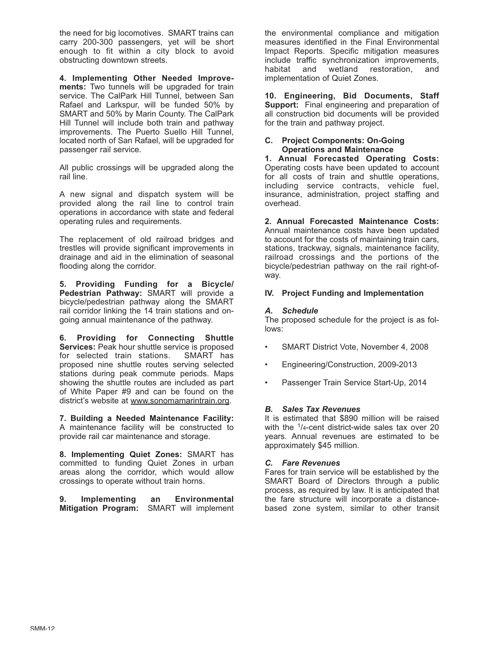the need for big locomotives. SMART trains can carry 200-300 passengers, yet will be short enough to fit within a city block to avoid obstructing downtown streets.

**4. Implementing Other Needed Improvements:** Two tunnels will be upgraded for train service. The CalPark Hill Tunnel, between San Rafael and Larkspur, will be funded 50% by SMART and 50% by Marin County. The CalPark Hill Tunnel will include both train and pathway improvements. The Puerto Suello Hill Tunnel, located north of San Rafael, will be upgraded for passenger rail service.

All public crossings will be upgraded along the rail line.

A new signal and dispatch system will be provided along the rail line to control train operations in accordance with state and federal operating rules and requirements.

The replacement of old railroad bridges and trestles will provide significant improvements in drainage and aid in the elimination of seasonal flooding along the corridor.

**5. Providing Funding for a Bicycle/ Pedestrian Pathway:** SMART will provide a bicycle/pedestrian pathway along the SMART rail corridor linking the 14 train stations and ongoing annual maintenance of the pathway.

**6. Providing for Connecting Shuttle Services:** Peak hour shuttle service is proposed for selected train stations. SMART has for selected train stations. proposed nine shuttle routes serving selected stations during peak commute periods. Maps showing the shuttle routes are included as part of White Paper #9 and can be found on the district's website at www.sonomamarintrain.org.

**7. Building a Needed Maintenance Facility:** A maintenance facility will be constructed to provide rail car maintenance and storage.

**8. Implementing Quiet Zones:** SMART has committed to funding Quiet Zones in urban areas along the corridor, which would allow crossings to operate without train horns.

**9. Implementing an Environmental Mitigation Program:** SMART will implement the environmental compliance and mitigation measures identified in the Final Environmental Impact Reports. Specific mitigation measures include traffic synchronization improvements, habitat and wetland restoration, and implementation of Quiet Zones.

**10. Engineering, Bid Documents, Staff Support:** Final engineering and preparation of all construction bid documents will be provided for the train and pathway project.

#### **C. Project Components: On-Going Operations and Maintenance**

**1. Annual Forecasted Operating Costs:** Operating costs have been updated to account for all costs of train and shuttle operations, including service contracts, vehicle fuel, insurance, administration, project staffing and overhead.

**2. Annual Forecasted Maintenance Costs:** Annual maintenance costs have been updated to account for the costs of maintaining train cars, stations, trackway, signals, maintenance facility, railroad crossings and the portions of the bicycle/pedestrian pathway on the rail right-ofway.

# **IV. Project Funding and Implementation**

## *A. Schedule*

The proposed schedule for the project is as follows:

- SMART District Vote, November 4, 2008
- Engineering/Construction, 2009-2013
- Passenger Train Service Start-Up, 2014

# *B. Sales Tax Revenues*

It is estimated that \$890 million will be raised with the <sup>1</sup>/4-cent district-wide sales tax over 20 years. Annual revenues are estimated to be approximately \$45 million.

#### *C. Fare Revenues*

Fares for train service will be established by the SMART Board of Directors through a public process, as required by law. It is anticipated that the fare structure will incorporate a distancebased zone system, similar to other transit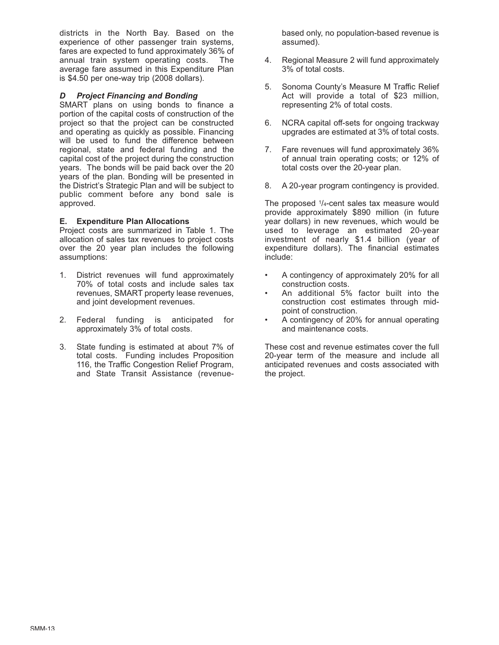districts in the North Bay. Based on the experience of other passenger train systems, fares are expected to fund approximately 36% of annual train system operating costs. The average fare assumed in this Expenditure Plan is \$4.50 per one-way trip (2008 dollars).

## *D Project Financing and Bonding*

SMART plans on using bonds to finance a portion of the capital costs of construction of the project so that the project can be constructed and operating as quickly as possible. Financing will be used to fund the difference between regional, state and federal funding and the capital cost of the project during the construction years. The bonds will be paid back over the 20 years of the plan. Bonding will be presented in the District's Strategic Plan and will be subject to public comment before any bond sale is approved.

## **E. Expenditure Plan Allocations**

Project costs are summarized in Table 1. The allocation of sales tax revenues to project costs over the 20 year plan includes the following assumptions:

- 1. District revenues will fund approximately 70% of total costs and include sales tax revenues, SMART property lease revenues, and joint development revenues.
- 2. Federal funding is anticipated for approximately 3% of total costs.
- 3. State funding is estimated at about 7% of total costs. Funding includes Proposition 116, the Traffic Congestion Relief Program, and State Transit Assistance (revenue-

based only, no population-based revenue is assumed).

- 4. Regional Measure 2 will fund approximately 3% of total costs.
- 5. Sonoma County's Measure M Traffic Relief Act will provide a total of \$23 million, representing 2% of total costs.
- 6. NCRA capital off-sets for ongoing trackway upgrades are estimated at 3% of total costs.
- 7. Fare revenues will fund approximately 36% of annual train operating costs; or 12% of total costs over the 20-year plan.
- 8. A 20-year program contingency is provided.

The proposed 1/4-cent sales tax measure would provide approximately \$890 million (in future year dollars) in new revenues, which would be used to leverage an estimated 20-year investment of nearly \$1.4 billion (year of expenditure dollars). The financial estimates include:

- A contingency of approximately 20% for all construction costs.
- An additional 5% factor built into the construction cost estimates through midpoint of construction.
- A contingency of 20% for annual operating and maintenance costs.

These cost and revenue estimates cover the full 20-year term of the measure and include all anticipated revenues and costs associated with the project.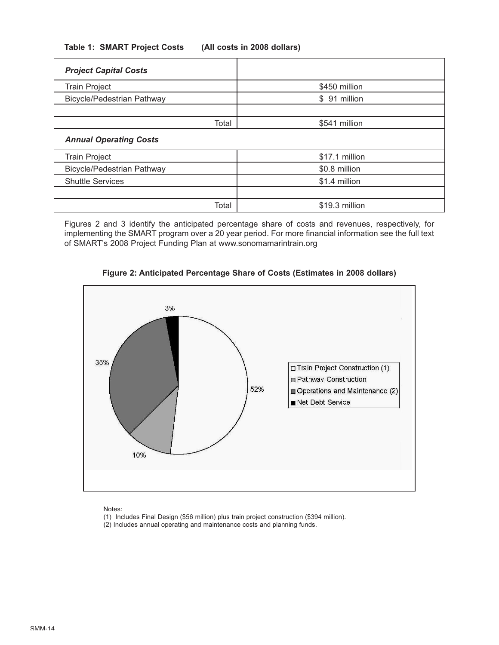| <b>Project Capital Costs</b>      |                |
|-----------------------------------|----------------|
| <b>Train Project</b>              | \$450 million  |
| <b>Bicycle/Pedestrian Pathway</b> | \$91 million   |
|                                   |                |
| Total                             | \$541 million  |
| <b>Annual Operating Costs</b>     |                |
| <b>Train Project</b>              | \$17.1 million |
| <b>Bicycle/Pedestrian Pathway</b> | \$0.8 million  |
| <b>Shuttle Services</b>           | \$1.4 million  |
|                                   |                |
| Total                             | \$19.3 million |

Figures 2 and 3 identify the anticipated percentage share of costs and revenues, respectively, for implementing the SMART program over a 20 year period. For more financial information see the full text of SMART's 2008 Project Funding Plan at www.sonomamarintrain.org



**Figure 2: Anticipated Percentage Share of Costs (Estimates in 2008 dollars)**

Notes:

(1) Includes Final Design (\$56 million) plus train project construction (\$394 million).

(2) Includes annual operating and maintenance costs and planning funds.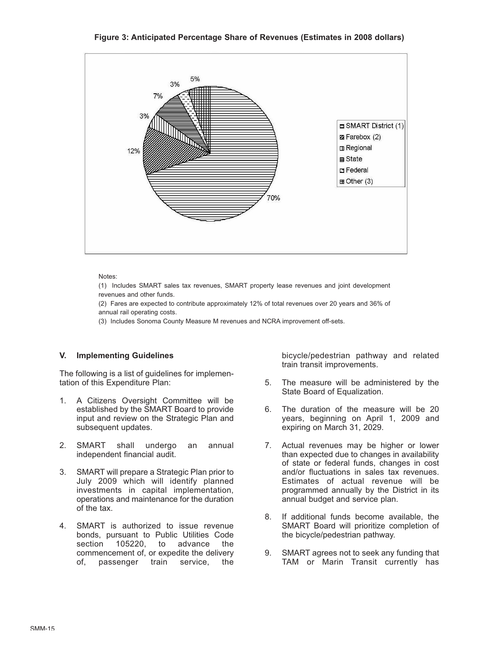**Figure 3: Anticipated Percentage Share of Revenues (Estimates in 2008 dollars)**



Notes:

(1) Includes SMART sales tax revenues, SMART property lease revenues and joint development revenues and other funds.

(2) Fares are expected to contribute approximately 12% of total revenues over 20 years and 36% of annual rail operating costs.

(3) Includes Sonoma County Measure M revenues and NCRA improvement off-sets.

#### **V. Implementing Guidelines**

The following is a list of guidelines for implementation of this Expenditure Plan:

- 1. A Citizens Oversight Committee will be established by the SMART Board to provide input and review on the Strategic Plan and subsequent updates.
- 2. SMART shall undergo an annual independent financial audit.
- 3. SMART will prepare a Strategic Plan prior to July 2009 which will identify planned investments in capital implementation, operations and maintenance for the duration of the tax.
- 4. SMART is authorized to issue revenue bonds, pursuant to Public Utilities Code section 105220, to advance the commencement of, or expedite the delivery of, passenger train service, the

bicycle/pedestrian pathway and related train transit improvements.

- 5. The measure will be administered by the State Board of Equalization.
- 6. The duration of the measure will be 20 years, beginning on April 1, 2009 and expiring on March 31, 2029.
- 7. Actual revenues may be higher or lower than expected due to changes in availability of state or federal funds, changes in cost and/or fluctuations in sales tax revenues. Estimates of actual revenue will be programmed annually by the District in its annual budget and service plan.
- 8. If additional funds become available, the SMART Board will prioritize completion of the bicycle/pedestrian pathway.
- 9. SMART agrees not to seek any funding that TAM or Marin Transit currently has